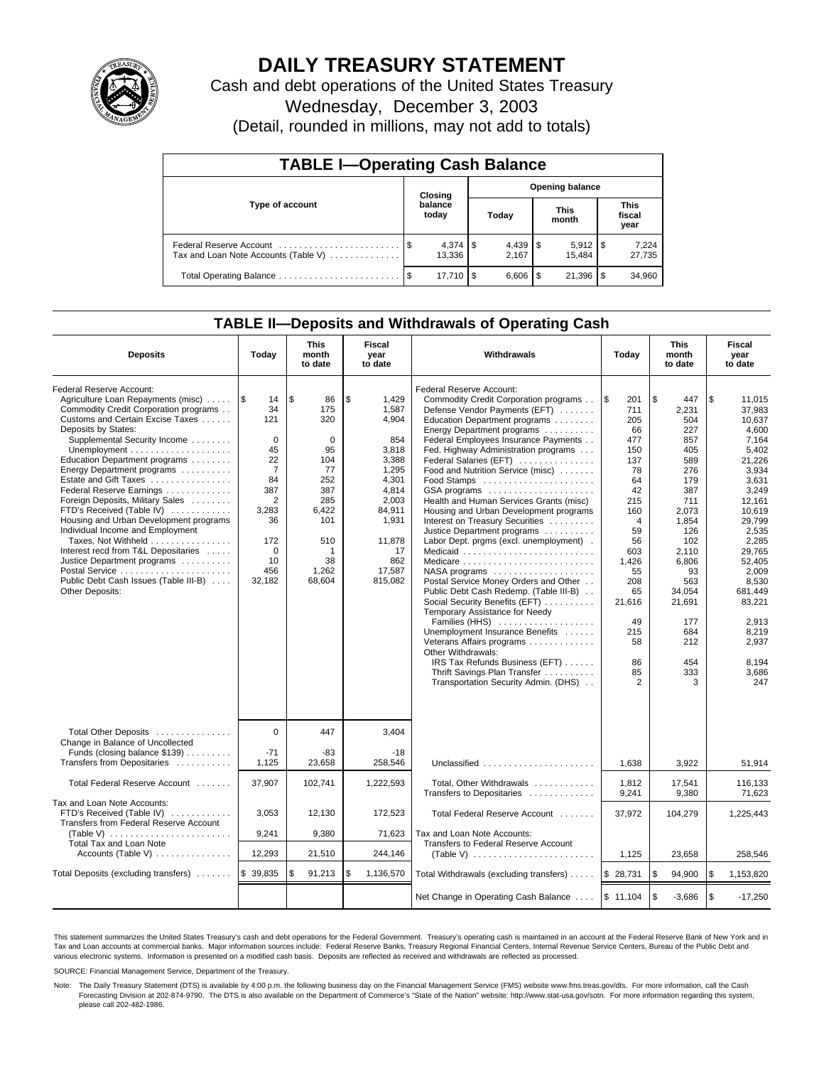

# **DAILY TREASURY STATEMENT**

Cash and debt operations of the United States Treasury

Wednesday, December 3, 2003

(Detail, rounded in millions, may not add to totals)

| <b>TABLE I-Operating Cash Balance</b>                           |         |                  |                        |              |  |                       |  |                               |  |
|-----------------------------------------------------------------|---------|------------------|------------------------|--------------|--|-----------------------|--|-------------------------------|--|
|                                                                 | Closing |                  | <b>Opening balance</b> |              |  |                       |  |                               |  |
| Type of account                                                 |         | balance<br>today |                        | Today        |  | <b>This</b><br>month  |  | <b>This</b><br>fiscal<br>year |  |
| Federal Reserve Account<br>Tax and Loan Note Accounts (Table V) |         | 13.336           |                        | 2.167        |  | $5,912$ \\$<br>15.484 |  | 7,224<br>27,735               |  |
|                                                                 | - \$    | 17.710   \$      |                        | $6,606$   \$ |  | 21,396                |  | 34,960                        |  |

## **TABLE II—Deposits and Withdrawals of Operating Cash**

| <b>Deposits</b>                                                                                                                                                                                                                                                                                                                                                                                                                                                                                                                                                                                                                | Today                                                                                                                                                    | <b>This</b><br>month<br>to date                                                                                               | Fiscal<br>year<br>to date                                                                                                                                 | Withdrawals                                                                                                                                                                                                                                                                                                                                                                                                                                                                                                                                                                                                                                                                                                                                                                                                                                                                                                                                             | Today                                                                                                                                                                                               | <b>This</b><br>month<br>to date                                                                                                                                                                              | Fiscal<br>year<br>to date                                                                                                                                                                                                                                       |
|--------------------------------------------------------------------------------------------------------------------------------------------------------------------------------------------------------------------------------------------------------------------------------------------------------------------------------------------------------------------------------------------------------------------------------------------------------------------------------------------------------------------------------------------------------------------------------------------------------------------------------|----------------------------------------------------------------------------------------------------------------------------------------------------------|-------------------------------------------------------------------------------------------------------------------------------|-----------------------------------------------------------------------------------------------------------------------------------------------------------|---------------------------------------------------------------------------------------------------------------------------------------------------------------------------------------------------------------------------------------------------------------------------------------------------------------------------------------------------------------------------------------------------------------------------------------------------------------------------------------------------------------------------------------------------------------------------------------------------------------------------------------------------------------------------------------------------------------------------------------------------------------------------------------------------------------------------------------------------------------------------------------------------------------------------------------------------------|-----------------------------------------------------------------------------------------------------------------------------------------------------------------------------------------------------|--------------------------------------------------------------------------------------------------------------------------------------------------------------------------------------------------------------|-----------------------------------------------------------------------------------------------------------------------------------------------------------------------------------------------------------------------------------------------------------------|
| Federal Reserve Account:<br>Agriculture Loan Repayments (misc)<br>Commodity Credit Corporation programs<br>Customs and Certain Excise Taxes<br>Deposits by States:<br>Supplemental Security Income<br>Education Department programs<br>Energy Department programs<br>Estate and Gift Taxes<br>Federal Reserve Earnings<br>Foreign Deposits, Military Sales<br>FTD's Received (Table IV)<br>Housing and Urban Development programs<br>Individual Income and Employment<br>Taxes, Not Withheld<br>Interest recd from T&L Depositaries<br>Justice Department programs<br>Public Debt Cash Issues (Table III-B)<br>Other Deposits: | $\sqrt{3}$<br>14<br>34<br>121<br>$\mathbf 0$<br>45<br>22<br>$\overline{7}$<br>84<br>387<br>2<br>3,283<br>36<br>172<br>$\mathbf 0$<br>10<br>456<br>32,182 | \$<br>86<br>175<br>320<br>$\mathbf 0$<br>95<br>104<br>77<br>252<br>387<br>285<br>6,422<br>101<br>510<br>38<br>1,262<br>68,604 | \$<br>1,429<br>1.587<br>4,904<br>854<br>3,818<br>3,388<br>1,295<br>4,301<br>4,814<br>2,003<br>84,911<br>1,931<br>11,878<br>17<br>862<br>17,587<br>815,082 | Federal Reserve Account:<br>Commodity Credit Corporation programs<br>Defense Vendor Payments (EFT)<br>Education Department programs<br>Energy Department programs<br>Federal Employees Insurance Payments<br>Fed. Highway Administration programs<br>Federal Salaries (EFT)<br>Food and Nutrition Service (misc)<br>Food Stamps<br>GSA programs<br>Health and Human Services Grants (misc)<br>Housing and Urban Development programs<br>Interest on Treasury Securities<br>Justice Department programs<br>Labor Dept. prgms (excl. unemployment).<br>Medicaid<br>NASA programs<br>Postal Service Money Orders and Other<br>Public Debt Cash Redemp. (Table III-B)<br>Social Security Benefits (EFT)<br>Temporary Assistance for Needy<br>Families (HHS)<br>Unemployment Insurance Benefits<br>Veterans Affairs programs<br>Other Withdrawals:<br>IRS Tax Refunds Business (EFT)<br>Thrift Savings Plan Transfer<br>Transportation Security Admin. (DHS) | l \$<br>201<br>711<br>205<br>66<br>477<br>150<br>137<br>78<br>64<br>42<br>215<br>160<br>$\overline{4}$<br>59<br>56<br>603<br>1,426<br>55<br>208<br>65<br>21,616<br>49<br>215<br>58<br>86<br>85<br>2 | \$<br>447<br>2,231<br>504<br>227<br>857<br>405<br>589<br>276<br>179<br>387<br>711<br>2,073<br>1,854<br>126<br>102<br>2,110<br>6,806<br>93<br>563<br>34,054<br>21,691<br>177<br>684<br>212<br>454<br>333<br>3 | \$<br>11.015<br>37.983<br>10,637<br>4,600<br>7,164<br>5,402<br>21.226<br>3,934<br>3.631<br>3,249<br>12,161<br>10,619<br>29,799<br>2,535<br>2.285<br>29.765<br>52,405<br>2,009<br>8,530<br>681.449<br>83,221<br>2,913<br>8,219<br>2,937<br>8,194<br>3,686<br>247 |
| Total Other Deposits<br>Change in Balance of Uncollected<br>Funds (closing balance \$139)                                                                                                                                                                                                                                                                                                                                                                                                                                                                                                                                      | $\Omega$<br>$-71$                                                                                                                                        | 447<br>-83                                                                                                                    | 3,404<br>$-18$                                                                                                                                            |                                                                                                                                                                                                                                                                                                                                                                                                                                                                                                                                                                                                                                                                                                                                                                                                                                                                                                                                                         |                                                                                                                                                                                                     |                                                                                                                                                                                                              |                                                                                                                                                                                                                                                                 |
| Transfers from Depositaries<br>Total Federal Reserve Account                                                                                                                                                                                                                                                                                                                                                                                                                                                                                                                                                                   | 1,125<br>37,907                                                                                                                                          | 23,658<br>102,741                                                                                                             | 258,546<br>1,222,593                                                                                                                                      | Unclassified<br>Total, Other Withdrawals                                                                                                                                                                                                                                                                                                                                                                                                                                                                                                                                                                                                                                                                                                                                                                                                                                                                                                                | 1,638<br>1,812                                                                                                                                                                                      | 3,922<br>17,541                                                                                                                                                                                              | 51,914<br>116,133                                                                                                                                                                                                                                               |
| Tax and Loan Note Accounts:                                                                                                                                                                                                                                                                                                                                                                                                                                                                                                                                                                                                    |                                                                                                                                                          |                                                                                                                               |                                                                                                                                                           | Transfers to Depositaries                                                                                                                                                                                                                                                                                                                                                                                                                                                                                                                                                                                                                                                                                                                                                                                                                                                                                                                               | 9,241                                                                                                                                                                                               | 9.380                                                                                                                                                                                                        | 71.623                                                                                                                                                                                                                                                          |
| FTD's Received (Table IV)<br>Transfers from Federal Reserve Account<br>(Table V) $\ldots \ldots \ldots \ldots \ldots \ldots$                                                                                                                                                                                                                                                                                                                                                                                                                                                                                                   | 3,053<br>9,241                                                                                                                                           | 12,130<br>9,380                                                                                                               | 172,523<br>71,623                                                                                                                                         | Total Federal Reserve Account<br>Tax and Loan Note Accounts:                                                                                                                                                                                                                                                                                                                                                                                                                                                                                                                                                                                                                                                                                                                                                                                                                                                                                            | 37,972                                                                                                                                                                                              | 104,279                                                                                                                                                                                                      | 1,225,443                                                                                                                                                                                                                                                       |
| Total Tax and Loan Note<br>Accounts (Table V)                                                                                                                                                                                                                                                                                                                                                                                                                                                                                                                                                                                  | 12,293                                                                                                                                                   | 21,510                                                                                                                        | 244,146                                                                                                                                                   | Transfers to Federal Reserve Account                                                                                                                                                                                                                                                                                                                                                                                                                                                                                                                                                                                                                                                                                                                                                                                                                                                                                                                    | 1,125                                                                                                                                                                                               | 23,658                                                                                                                                                                                                       | 258,546                                                                                                                                                                                                                                                         |
| Total Deposits (excluding transfers)                                                                                                                                                                                                                                                                                                                                                                                                                                                                                                                                                                                           | \$ 39,835                                                                                                                                                | \$<br>91,213                                                                                                                  | \$<br>1,136,570                                                                                                                                           | Total Withdrawals (excluding transfers)                                                                                                                                                                                                                                                                                                                                                                                                                                                                                                                                                                                                                                                                                                                                                                                                                                                                                                                 | \$28,731                                                                                                                                                                                            | \$<br>94,900                                                                                                                                                                                                 | ۱\$<br>1,153,820                                                                                                                                                                                                                                                |
|                                                                                                                                                                                                                                                                                                                                                                                                                                                                                                                                                                                                                                |                                                                                                                                                          |                                                                                                                               |                                                                                                                                                           | Net Change in Operating Cash Balance                                                                                                                                                                                                                                                                                                                                                                                                                                                                                                                                                                                                                                                                                                                                                                                                                                                                                                                    | \$11,104                                                                                                                                                                                            | \$<br>$-3,686$                                                                                                                                                                                               | \$<br>$-17,250$                                                                                                                                                                                                                                                 |

This statement summarizes the United States Treasury's cash and debt operations for the Federal Government. Treasury's operating cash is maintained in an account at the Federal Reserve Bank of New York and in Tax and Loan accounts at commercial banks. Major information sources include: Federal Reserve Banks, Treasury Regional Financial Centers, Internal Revenue Service Centers, Bureau of the Public Debt and<br>various electronic s

SOURCE: Financial Management Service, Department of the Treasury.

Note: The Daily Treasury Statement (DTS) is available by 4:00 p.m. the following business day on the Financial Management Service (FMS) website www.fms.treas.gov/dts. For more information, call the Cash Forecasting Division at 202-874-9790. The DTS is also available on the Department of Commerce's "State of the Nation" website: http://www.stat-usa.gov/sotn. For more information regarding this system, please call 202-482-1986.